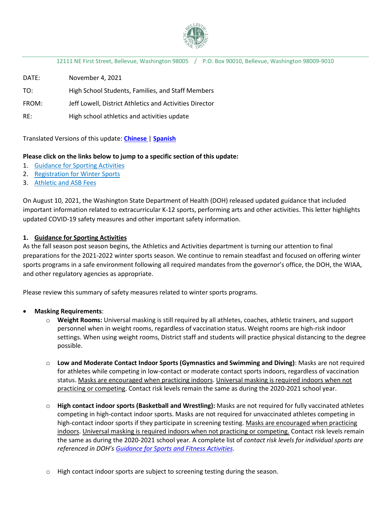

12111 NE First Street, Bellevue, Washington 98005 / P.O. Box 90010, Bellevue, Washington 98009-9010

DATE: November 4, 2021

TO: High School Students, Families, and Staff Members

FROM: Jeff Lowell, District Athletics and Activities Director

RE: High school athletics and activities update

Translated Versions of this update: **[Chinese](https://bsd405.org/wp-content/uploads/2021/11/Athletic-Update-Athletics-Update-21.11.4-Chinese-Simplified.pdf)** | **[Spanish](https://bsd405.org/wp-content/uploads/2021/11/Athletic-Update-Athletics-Update-21.11.4-Spanish.pdf)**

## **Please click on the links below to jump to a specific section of this update:**

- 1. [Guidance for Sporting Activities](#page-0-0)
- 2. [Registration for Winter Sports](#page-1-0)
- 3. [Athletic and ASB Fees](#page-2-0)

On August 10, 2021, the Washington State Department of Health (DOH) released updated guidance that included important information related to extracurricular K-12 sports, performing arts and other activities. This letter highlights updated COVID-19 safety measures and other important safety information.

## <span id="page-0-0"></span>**1. Guidance for Sporting Activities**

As the fall season post season begins, the Athletics and Activities department is turning our attention to final preparations for the 2021-2022 winter sports season. We continue to remain steadfast and focused on offering winter sports programs in a safe environment following all required mandates from the governor's office, the DOH, the WIAA, and other regulatory agencies as appropriate.

Please review this summary of safety measures related to winter sports programs.

#### • **Masking Requirements**:

- o **Weight Rooms:** Universal masking is still required by all athletes, coaches, athletic trainers, and support personnel when in weight rooms, regardless of vaccination status. Weight rooms are high-risk indoor settings. When using weight rooms, District staff and students will practice physical distancing to the degree possible.
- o **Low and Moderate Contact Indoor Sports (Gymnastics and Swimming and Diving)**: Masks are not required for athletes while competing in low-contact or moderate contact sports indoors, regardless of vaccination status. Masks are encouraged when practicing indoors. Universal masking is required indoors when not practicing or competing. Contact risk levels remain the same as during the 2020-2021 school year.
- o **High contact indoor sports (Basketball and Wrestling):** Masks are not required for fully vaccinated athletes competing in high-contact indoor sports. Masks are not required for unvaccinated athletes competing in high-contact indoor sports if they participate in screening testing. Masks are encouraged when practicing indoors. Universal masking is required indoors when not practicing or competing. Contact risk levels remain the same as during the 2020-2021 school year. A complete list of *contact risk levels for individual sports are referenced in DOH's [Guidance for Sports and Fitness Activities](https://www.doh.wa.gov/Portals/1/Documents/1600/coronavirus/820-201-SportsFitnessGuidance.pdf)*.
- o High contact indoor sports are subject to screening testing during the season.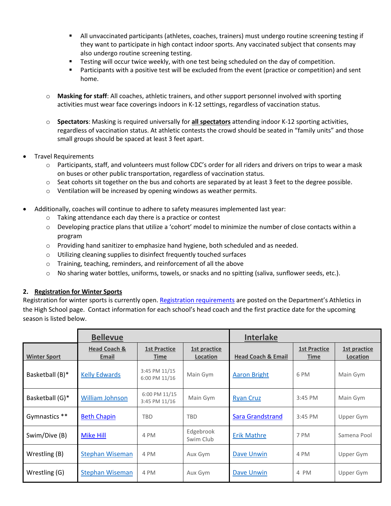- All unvaccinated participants (athletes, coaches, trainers) must undergo routine screening testing if they want to participate in high contact indoor sports. Any vaccinated subject that consents may also undergo routine screening testing.
- **Testing will occur twice weekly, with one test being scheduled on the day of competition.**
- Participants with a positive test will be excluded from the event (practice or competition) and sent home.
- o **Masking for staff**: All coaches, athletic trainers, and other support personnel involved with sporting activities must wear face coverings indoors in K-12 settings, regardless of vaccination status.
- o **Spectators**: Masking is required universally for **all spectators** attending indoor K-12 sporting activities, regardless of vaccination status. At athletic contests the crowd should be seated in "family units" and those small groups should be spaced at least 3 feet apart.
- Travel Requirements
	- o Participants, staff, and volunteers must follow CDC's order for all riders and drivers on trips to wear a mask on buses or other public transportation, regardless of vaccination status.
	- o Seat cohorts sit together on the bus and cohorts are separated by at least 3 feet to the degree possible.
	- o Ventilation will be increased by opening windows as weather permits.
- Additionally, coaches will continue to adhere to safety measures implemented last year:
	- o Taking attendance each day there is a practice or contest
	- o Developing practice plans that utilize a 'cohort' model to minimize the number of close contacts within a program
	- o Providing hand sanitizer to emphasize hand hygiene, both scheduled and as needed.
	- o Utilizing cleaning supplies to disinfect frequently touched surfaces
	- o Training, teaching, reminders, and reinforcement of all the above
	- o No sharing water bottles, uniforms, towels, or snacks and no spitting (saliva, sunflower seeds, etc.).

## <span id="page-1-0"></span>**2. Registration for Winter Sports**

Registration for winter sports is currently open. [Registration requirements](https://bsd405.org/departments/athletics-activities/high-school-athletics/) are posted on the Department's Athletics in the High School page. Contact information for each school's head coach and the first practice date for the upcoming season is listed below.

|                     | <b>Bellevue</b>                  |                                |                          | <b>Interlake</b>              |                                    |                          |
|---------------------|----------------------------------|--------------------------------|--------------------------|-------------------------------|------------------------------------|--------------------------|
| <b>Winter Sport</b> | <b>Head Coach &amp;</b><br>Email | <b>1st Practice</b><br>Time    | 1st practice<br>Location | <b>Head Coach &amp; Email</b> | <b>1st Practice</b><br><b>Time</b> | 1st practice<br>Location |
| Basketball (B)*     | <b>Kelly Edwards</b>             | 3:45 PM 11/15<br>6:00 PM 11/16 | Main Gym                 | <b>Aaron Bright</b>           | 6 PM                               | Main Gym                 |
| Basketball (G)*     | <b>William Johnson</b>           | 6:00 PM 11/15<br>3:45 PM 11/16 | Main Gym                 | <b>Ryan Cruz</b>              | $3:45$ PM                          | Main Gym                 |
| Gymnastics **       | <b>Beth Chapin</b>               | <b>TBD</b>                     | <b>TBD</b>               | <b>Sara Grandstrand</b>       | $3:45$ PM                          | Upper Gym                |
| Swim/Dive (B)       | <b>Mike Hill</b>                 | 4 PM                           | Edgebrook<br>Swim Club   | <b>Erik Mathre</b>            | 7 PM                               | Samena Pool              |
| Wrestling (B)       | <b>Stephan Wiseman</b>           | 4 PM                           | Aux Gym                  | Dave Unwin                    | 4 PM                               | Upper Gym                |
| Wrestling (G)       | <b>Stephan Wiseman</b>           | 4 PM                           | Aux Gym                  | Dave Unwin                    | 4 PM                               | Upper Gym                |